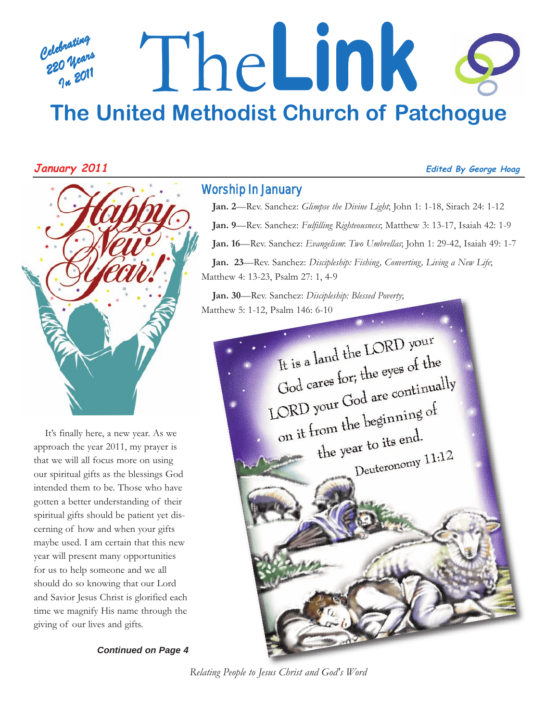# *Celebrating 220 Years In 2011* The**Link The United Methodist Church of Patchogue**



It's finally here, a new year. As we approach the year 2011, my prayer is that we will all focus more on using our spiritual gifts as the blessings God intended them to be. Those who have gotten a better understanding of their spiritual gifts should be patient yet discerning of how and when your gifts maybe used. I am certain that this new year will present many opportunities for us to help someone and we all should do so knowing that our Lord and Savior Jesus Christ is glorified each time we magnify His name through the giving of our lives and gifts.

*Continued on Page 4*

### Worship In January

**Jan. 2**—Rev. Sanchez: *Glimpse the Divine Light*; John 1: 1-18, Sirach 24: 1-12 **Jan. 9**—Rev. Sanchez: *Fulfilling Righteousness*; Matthew 3: 13-17, Isaiah 42: 1-9 **Jan. 16**—Rev. Sanchez: *Evangelism*: *Two Umbrellas*; John 1: 29-42, Isaiah 49: 1-7 **Jan. 23**—Rev. Sanchez: *Discipleship: Fishing, Converting, Living a New Life*; Matthew 4: 13-23, Psalm 27: 1, 4-9

**Jan. 30**—Rev. Sanchez: *Discipleship: Blessed Poverty*; Matthew 5: 1-12, Psalm 146: 6-10



*Relating People to Jesus Christ and God's Word*

#### **January 2011 Edited By George Hoag**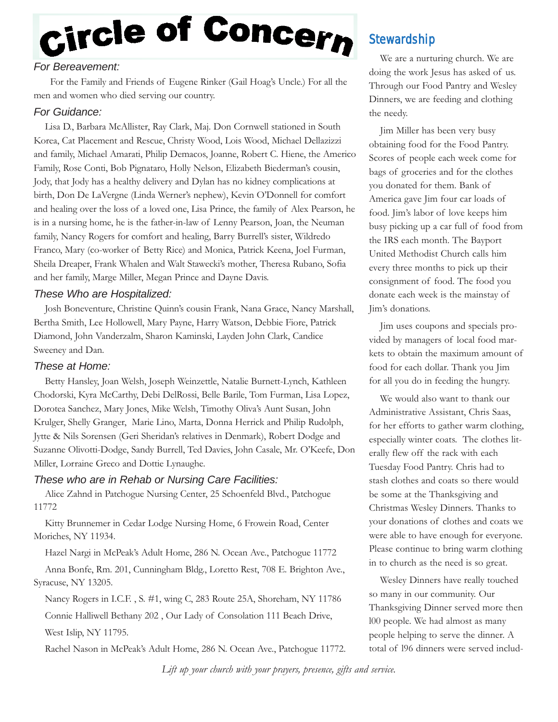# Circle of Concern

#### *For Bereavement:*

For the Family and Friends of Eugene Rinker (Gail Hoag's Uncle.) For all the men and women who died serving our country.

#### *For Guidance:*

Lisa D., Barbara McAllister, Ray Clark, Maj. Don Cornwell stationed in South Korea, Cat Placement and Rescue, Christy Wood, Lois Wood, Michael Dellazizzi and family, Michael Amarati, Philip Demacos, Joanne, Robert C. Hiene, the Americo Family, Rose Conti, Bob Pignataro, Holly Nelson, Elizabeth Biederman's cousin, Jody, that Jody has a healthy delivery and Dylan has no kidney complications at birth, Don De LaVergne (Linda Werner's nephew), Kevin O'Donnell for comfort and healing over the loss of a loved one, Lisa Prince, the family of Alex Pearson, he is in a nursing home, he is the father-in-law of Lenny Pearson, Joan, the Neuman family, Nancy Rogers for comfort and healing, Barry Burrell's sister, Wildredo Franco, Mary (co-worker of Betty Rice) and Monica, Patrick Keena, Joel Furman, Sheila Dreaper, Frank Whalen and Walt Stawecki's mother, Theresa Rubano, Sofia and her family, Marge Miller, Megan Prince and Dayne Davis.

#### *These Who are Hospitalized:*

Josh Boneventure, Christine Quinn's cousin Frank, Nana Grace, Nancy Marshall, Bertha Smith, Lee Hollowell, Mary Payne, Harry Watson, Debbie Fiore, Patrick Diamond, John Vanderzalm, Sharon Kaminski, Layden John Clark, Candice Sweeney and Dan.

#### *These at Home:*

Betty Hansley, Joan Welsh, Joseph Weinzettle, Natalie Burnett-Lynch, Kathleen Chodorski, Kyra McCarthy, Debi DelRossi, Belle Barile, Tom Furman, Lisa Lopez, Dorotea Sanchez, Mary Jones, Mike Welsh, Timothy Oliva's Aunt Susan, John Krulger, Shelly Granger, Marie Lino, Marta, Donna Herrick and Philip Rudolph, Jytte & Nils Sorensen (Geri Sheridan's relatives in Denmark), Robert Dodge and Suzanne Olivotti-Dodge, Sandy Burrell, Ted Davies, John Casale, Mr. O'Keefe, Don Miller, Lorraine Greco and Dottie Lynaughe.

#### *These who are in Rehab or Nursing Care Facilities:*

Alice Zahnd in Patchogue Nursing Center, 25 Schoenfeld Blvd., Patchogue 11772

Kitty Brunnemer in Cedar Lodge Nursing Home, 6 Frowein Road, Center Moriches, NY 11934.

Hazel Nargi in McPeak's Adult Home, 286 N. Ocean Ave., Patchogue 11772

Anna Bonfe, Rm. 201, Cunningham Bldg., Loretto Rest, 708 E. Brighton Ave., Syracuse, NY 13205.

Nancy Rogers in I.C.F. , S. #1, wing C, 283 Route 25A, Shoreham, NY 11786

Connie Halliwell Bethany 202 , Our Lady of Consolation 111 Beach Drive, West Islip, NY 11795.

Rachel Nason in McPeak's Adult Home, 286 N. Ocean Ave., Patchogue 11772.

# **Stewardship**

We are a nurturing church. We are doing the work Jesus has asked of us. Through our Food Pantry and Wesley Dinners, we are feeding and clothing the needy.

Jim Miller has been very busy obtaining food for the Food Pantry. Scores of people each week come for bags of groceries and for the clothes you donated for them. Bank of America gave Jim four car loads of food. Jim's labor of love keeps him busy picking up a car full of food from the IRS each month. The Bayport United Methodist Church calls him every three months to pick up their consignment of food. The food you donate each week is the mainstay of Jim's donations.

Jim uses coupons and specials provided by managers of local food markets to obtain the maximum amount of food for each dollar. Thank you Jim for all you do in feeding the hungry.

We would also want to thank our Administrative Assistant, Chris Saas, for her efforts to gather warm clothing, especially winter coats. The clothes literally flew off the rack with each Tuesday Food Pantry. Chris had to stash clothes and coats so there would be some at the Thanksgiving and Christmas Wesley Dinners. Thanks to your donations of clothes and coats we were able to have enough for everyone. Please continue to bring warm clothing in to church as the need is so great.

Wesley Dinners have really touched so many in our community. Our Thanksgiving Dinner served more then l00 people. We had almost as many people helping to serve the dinner. A total of l96 dinners were served includ-

*Lift up your church with your prayers, presence, gifts and service.*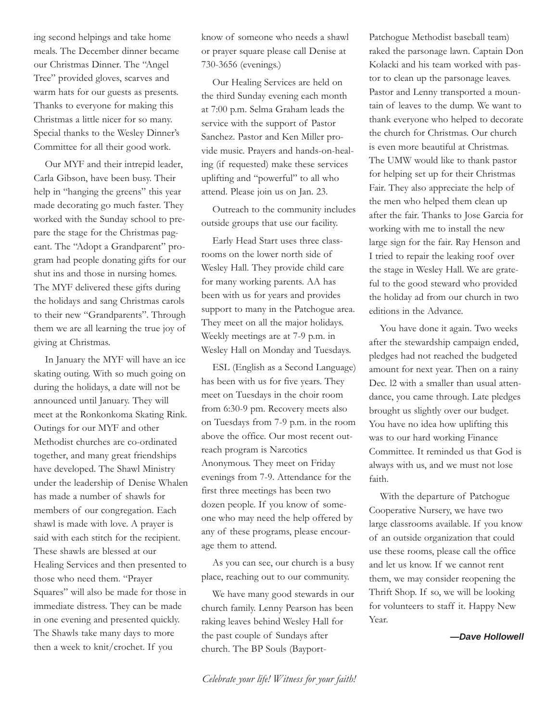ing second helpings and take home meals. The December dinner became our Christmas Dinner. The "Angel Tree" provided gloves, scarves and warm hats for our guests as presents. Thanks to everyone for making this Christmas a little nicer for so many. Special thanks to the Wesley Dinner's Committee for all their good work.

Our MYF and their intrepid leader, Carla Gibson, have been busy. Their help in "hanging the greens" this year made decorating go much faster. They worked with the Sunday school to prepare the stage for the Christmas pageant. The "Adopt a Grandparent" program had people donating gifts for our shut ins and those in nursing homes. The MYF delivered these gifts during the holidays and sang Christmas carols to their new "Grandparents". Through them we are all learning the true joy of giving at Christmas.

In January the MYF will have an ice skating outing. With so much going on during the holidays, a date will not be announced until January. They will meet at the Ronkonkoma Skating Rink. Outings for our MYF and other Methodist churches are co-ordinated together, and many great friendships have developed. The Shawl Ministry under the leadership of Denise Whalen has made a number of shawls for members of our congregation. Each shawl is made with love. A prayer is said with each stitch for the recipient. These shawls are blessed at our Healing Services and then presented to those who need them. "Prayer Squares" will also be made for those in immediate distress. They can be made in one evening and presented quickly. The Shawls take many days to more then a week to knit/crochet. If you

know of someone who needs a shawl or prayer square please call Denise at 730-3656 (evenings.)

Our Healing Services are held on the third Sunday evening each month at 7:00 p.m. Selma Graham leads the service with the support of Pastor Sanchez. Pastor and Ken Miller provide music. Prayers and hands-on-healing (if requested) make these services uplifting and "powerful" to all who attend. Please join us on Jan. 23.

Outreach to the community includes outside groups that use our facility.

Early Head Start uses three classrooms on the lower north side of Wesley Hall. They provide child care for many working parents. AA has been with us for years and provides support to many in the Patchogue area. They meet on all the major holidays. Weekly meetings are at 7-9 p.m. in Wesley Hall on Monday and Tuesdays.

ESL (English as a Second Language) has been with us for five years. They meet on Tuesdays in the choir room from 6:30-9 pm. Recovery meets also on Tuesdays from 7-9 p.m. in the room above the office. Our most recent outreach program is Narcotics Anonymous. They meet on Friday evenings from 7-9. Attendance for the first three meetings has been two dozen people. If you know of someone who may need the help offered by any of these programs, please encourage them to attend.

As you can see, our church is a busy place, reaching out to our community.

We have many good stewards in our church family. Lenny Pearson has been raking leaves behind Wesley Hall for the past couple of Sundays after church. The BP Souls (Bayport-

Patchogue Methodist baseball team) raked the parsonage lawn. Captain Don Kolacki and his team worked with pastor to clean up the parsonage leaves. Pastor and Lenny transported a mountain of leaves to the dump. We want to thank everyone who helped to decorate the church for Christmas. Our church is even more beautiful at Christmas. The UMW would like to thank pastor for helping set up for their Christmas Fair. They also appreciate the help of the men who helped them clean up after the fair. Thanks to Jose Garcia for working with me to install the new large sign for the fair. Ray Henson and I tried to repair the leaking roof over the stage in Wesley Hall. We are grateful to the good steward who provided the holiday ad from our church in two editions in the Advance.

You have done it again. Two weeks after the stewardship campaign ended, pledges had not reached the budgeted amount for next year. Then on a rainy Dec. l2 with a smaller than usual attendance, you came through. Late pledges brought us slightly over our budget. You have no idea how uplifting this was to our hard working Finance Committee. It reminded us that God is always with us, and we must not lose faith.

With the departure of Patchogue Cooperative Nursery, we have two large classrooms available. If you know of an outside organization that could use these rooms, please call the office and let us know. If we cannot rent them, we may consider reopening the Thrift Shop. If so, we will be looking for volunteers to staff it. Happy New Year.

*—Dave Hollowell*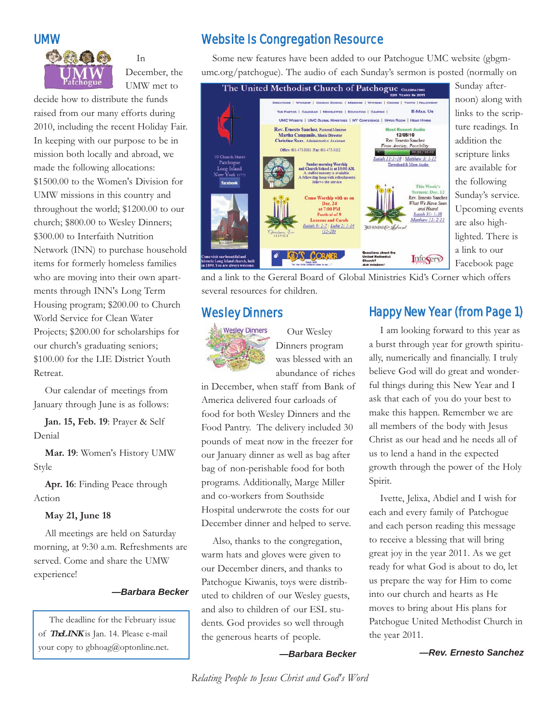

In December, the UMW met to

decide how to distribute the funds raised from our many efforts during 2010, including the recent Holiday Fair. In keeping with our purpose to be in mission both locally and abroad, we made the following allocations: \$1500.00 to the Women's Division for UMW missions in this country and throughout the world; \$1200.00 to our church; \$800.00 to Wesley Dinners; \$300.00 to Interfaith Nutrition Network (INN) to purchase household items for formerly homeless families who are moving into their own apartments through INN's Long Term Housing program; \$200.00 to Church World Service for Clean Water Projects; \$200.00 for scholarships for our church's graduating seniors; \$100.00 for the LIE District Youth Retreat.

Our calendar of meetings from January through June is as follows:

**Jan. 15, Feb. 19**: Prayer & Self Denial

**Mar. 19**: Women's History UMW Style

**Apr. 16**: Finding Peace through Action

#### **May 21, June 18**

All meetings are held on Saturday morning, at 9:30 a.m. Refreshments are served. Come and share the UMW experience!

#### *—Barbara Becker*

The deadline for the February issue of **TheLINK** is Jan. 14. Please e-mail your copy to gbhoag@optonline.net.

## Website Is Congregation Resource

Some new features have been added to our Patchogue UMC website (gbgmumc.org/patchogue). The audio of each Sunday's sermon is posted (normally on



Sunday afternoon) along with links to the scripture readings. In addition the scripture links are available for the following Sunday's service. Upcoming events are also highlighted. There is a link to our Facebook page

and a link to the Gereral Board of Global Ministries Kid's Corner which offers several resources for children.

#### Wesley Dinners



Our Wesley Dinners program was blessed with an abundance of riches

in December, when staff from Bank of America delivered four carloads of food for both Wesley Dinners and the Food Pantry. The delivery included 30 pounds of meat now in the freezer for our January dinner as well as bag after bag of non-perishable food for both programs. Additionally, Marge Miller and co-workers from Southside Hospital underwrote the costs for our December dinner and helped to serve.

Also, thanks to the congregation, warm hats and gloves were given to our December diners, and thanks to Patchogue Kiwanis, toys were distributed to children of our Wesley guests, and also to children of our ESL students. God provides so well through the generous hearts of people.

*—Barbara Becker*

# Happy New Year (from Page 1)

I am looking forward to this year as a burst through year for growth spiritually, numerically and financially. I truly believe God will do great and wonderful things during this New Year and I ask that each of you do your best to make this happen. Remember we are all members of the body with Jesus Christ as our head and he needs all of us to lend a hand in the expected growth through the power of the Holy Spirit.

Ivette, Jelixa, Abdiel and I wish for each and every family of Patchogue and each person reading this message to receive a blessing that will bring great joy in the year 2011. As we get ready for what God is about to do, let us prepare the way for Him to come into our church and hearts as He moves to bring about His plans for Patchogue United Methodist Church in the year 2011.

*—Rev. Ernesto Sanchez*

*Relating People to Jesus Christ and God's Word*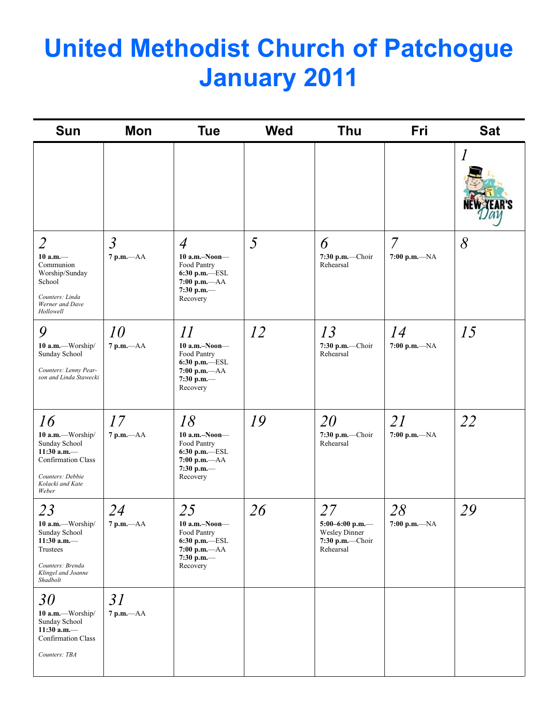# **United Methodist Church of Patchogue January 2011**

| <b>Sun</b>                                                                                                                             | Mon                            | <b>Tue</b>                                                                                                       | <b>Wed</b> | Thu                                                                             | Fri                            | <b>Sat</b> |
|----------------------------------------------------------------------------------------------------------------------------------------|--------------------------------|------------------------------------------------------------------------------------------------------------------|------------|---------------------------------------------------------------------------------|--------------------------------|------------|
|                                                                                                                                        |                                |                                                                                                                  |            |                                                                                 |                                |            |
| $\overline{2}$<br>$10$ a.m. $-$<br>Communion<br>Worship/Sunday<br>School<br>Counters: Linda<br>Werner and Dave<br>Hollowell            | $\mathfrak{Z}$<br>$7 p.m. -AA$ | $\overline{4}$<br>$10$ a.m.-Noon-<br>Food Pantry<br>6:30 p.m.-ESL<br>$7:00$ p.m.— $AA$<br>7:30 p.m.—<br>Recovery | 5          | 6<br>7:30 p.m.-Choir<br>Rehearsal                                               | $\overline{7}$<br>7:00 p.m.-NA | 8          |
| 9<br>10 a.m.-Worship/<br>Sunday School<br>Counters: Lenny Pear-<br>son and Linda Stawecki                                              | 10<br>$7 p.m. -AA$             | 11<br>$10$ a.m.-Noon-<br>Food Pantry<br>6:30 p.m.—ESL<br>$7:00 p.m. -AA$<br>7:30 p.m.—<br>Recovery               | 12         | 13<br>$7:30$ p.m.-Choir<br>Rehearsal                                            | 14<br>7:00 p.m.-NA             | 15         |
| 16<br>10 a.m.-Worship/<br>Sunday School<br>$11:30$ a.m.-<br><b>Confirmation Class</b><br>Counters: Debbie<br>Kolacki and Kate<br>Weber | 17<br>$7$ p.m. $-AA$           | 18<br>$10$ a.m.-Noon-<br>Food Pantry<br>6:30 p.m.-ESL<br>$7:00 p.m. -AA$<br>7:30 p.m.-<br>Recovery               | 19         | 20<br>$7:30$ p.m.-Choir<br>Rehearsal                                            | 21<br>7:00 p.m.-NA             | 22         |
| 23<br>10 a.m.-Worship/<br>Sunday School<br>11:30 a.m. $-$<br>Trustees<br>Counters: Brenda<br>Klingel and Joanne<br>Shadbolt            | 24<br>7 p.m.-- AA              | 25<br>$10$ a.m.-Noon-<br>Food Pantry<br>6:30 p.m.-ESL<br>7:00 p.m.-- AA<br>7:30 p.m.-<br>Recovery                | 26         | 27<br>5:00-6:00 p.m.-<br><b>Wesley Dinner</b><br>$7:30$ p.m.-Choir<br>Rehearsal | 28<br>7:00 p.m.— $NA$          | 29         |
| 30<br>10 a.m.-Worship/<br>Sunday School<br>$11:30$ a.m.-<br>Confirmation Class<br>Counters: TBA                                        | 31<br>$7$ p.m.— $AA$           |                                                                                                                  |            |                                                                                 |                                |            |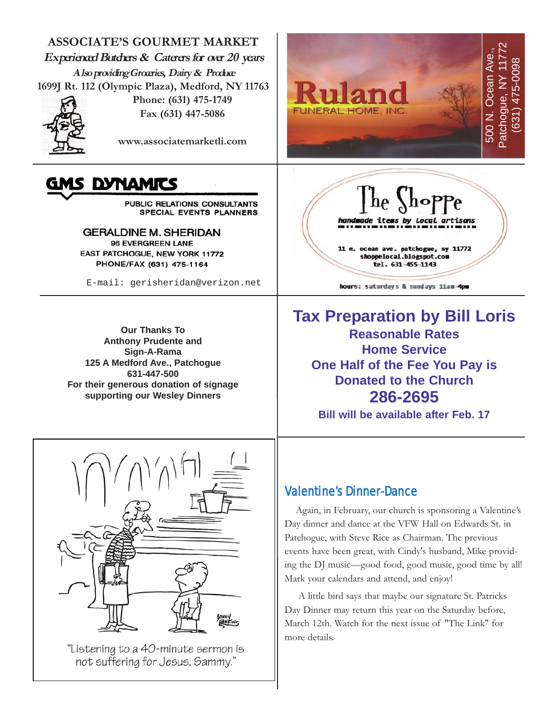



"Listening to a 40-minute sermon is not suffering for Jesus, Sammy."

Patchogue, with Steve Rice as Chairman. The previous events have been great, with Cindy's husband, Mike providing the DJ music—good food, good music, good time by all! Mark your calendars and attend, and enjoy!

A little bird says that maybe our signature St. Patricks Day Dinner may return this year on the Saturday before, March 12th. Watch for the next issue of "The Link" for more details.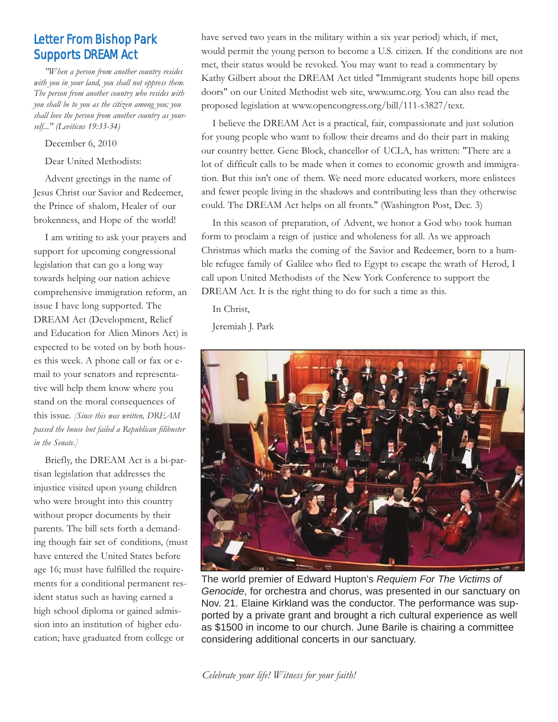# Letter From Bishop Park Supports DREAM Act

*"When a person from another country resides with you in your land, you shall not oppress them. The person from another country who resides with you shall be to you as the citizen among you; you shall love the person from another country as yourself..." (Leviticus 19:33-34)*

#### December 6, 2010

Dear United Methodists:

Advent greetings in the name of Jesus Christ our Savior and Redeemer, the Prince of shalom, Healer of our brokenness, and Hope of the world!

I am writing to ask your prayers and support for upcoming congressional legislation that can go a long way towards helping our nation achieve comprehensive immigration reform, an issue I have long supported. The DREAM Act (Development, Relief and Education for Alien Minors Act) is expected to be voted on by both houses this week. A phone call or fax or email to your senators and representative will help them know where you stand on the moral consequences of this issue. *[Since this was written, DREAM passed the house but failed a Republican filibuster in the Senate.]*

Briefly, the DREAM Act is a bi-partisan legislation that addresses the injustice visited upon young children who were brought into this country without proper documents by their parents. The bill sets forth a demanding though fair set of conditions, (must have entered the United States before age 16; must have fulfilled the requirements for a conditional permanent resident status such as having earned a high school diploma or gained admission into an institution of higher education; have graduated from college or

have served two years in the military within a six year period) which, if met, would permit the young person to become a U.S. citizen. If the conditions are not met, their status would be revoked. You may want to read a commentary by Kathy Gilbert about the DREAM Act titled "Immigrant students hope bill opens doors" on our United Methodist web site, www.umc.org. You can also read the proposed legislation at www.opencongress.org/bill/111-s3827/text.

I believe the DREAM Act is a practical, fair, compassionate and just solution for young people who want to follow their dreams and do their part in making our country better. Gene Block, chancellor of UCLA, has written: "There are a lot of difficult calls to be made when it comes to economic growth and immigration. But this isn't one of them. We need more educated workers, more enlistees and fewer people living in the shadows and contributing less than they otherwise could. The DREAM Act helps on all fronts." (Washington Post, Dec. 3)

In this season of preparation, of Advent, we honor a God who took human form to proclaim a reign of justice and wholeness for all. As we approach Christmas which marks the coming of the Savior and Redeemer, born to a humble refugee family of Galilee who fled to Egypt to escape the wrath of Herod, I call upon United Methodists of the New York Conference to support the DREAM Act. It is the right thing to do for such a time as this.

In Christ,

Jeremiah J. Park



The world premier of Edward Hupton's *Requiem For The Victims of Genocide*, for orchestra and chorus, was presented in our sanctuary on Nov. 21. Elaine Kirkland was the conductor. The performance was supported by a private grant and brought a rich cultural experience as well as \$1500 in income to our church. June Barile is chairing a committee considering additional concerts in our sanctuary.